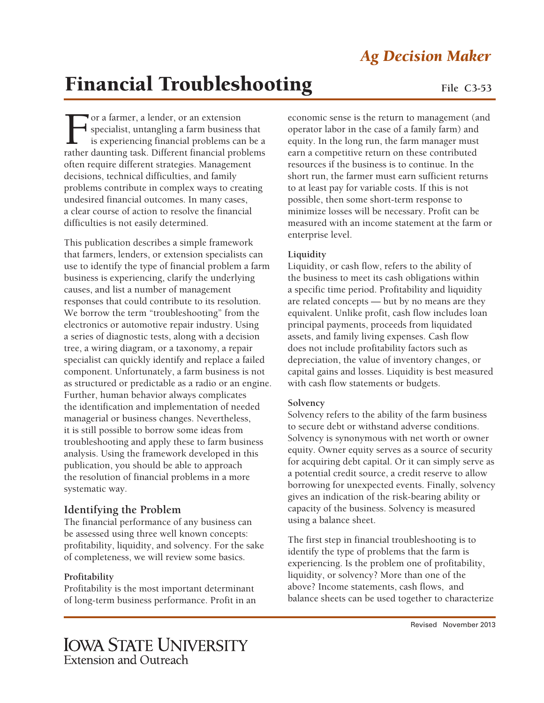## *Ag Decision Maker*

# **Financial Troubleshooting** File C3-53

For a farmer, a lender, or an extension<br>specialist, untangling a farm business<br>is experiencing financial problems can<br>rather daunting task. Different financial problems specialist, untangling a farm business that is experiencing financial problems can be a rather daunting task. Different financial problems often require different strategies. Management decisions, technical difficulties, and family problems contribute in complex ways to creating undesired financial outcomes. In many cases, a clear course of action to resolve the financial difficulties is not easily determined.

This publication describes a simple framework that farmers, lenders, or extension specialists can use to identify the type of financial problem a farm business is experiencing, clarify the underlying causes, and list a number of management responses that could contribute to its resolution. We borrow the term "troubleshooting" from the electronics or automotive repair industry. Using a series of diagnostic tests, along with a decision tree, a wiring diagram, or a taxonomy, a repair specialist can quickly identify and replace a failed component. Unfortunately, a farm business is not as structured or predictable as a radio or an engine. Further, human behavior always complicates the identification and implementation of needed managerial or business changes. Nevertheless, it is still possible to borrow some ideas from troubleshooting and apply these to farm business analysis. Using the framework developed in this publication, you should be able to approach the resolution of financial problems in a more systematic way.

### **Identifying the Problem**

The financial performance of any business can be assessed using three well known concepts: profitability, liquidity, and solvency. For the sake of completeness, we will review some basics.

#### **Profitability**

Profitability is the most important determinant of long-term business performance. Profit in an economic sense is the return to management (and operator labor in the case of a family farm) and equity. In the long run, the farm manager must earn a competitive return on these contributed resources if the business is to continue. In the short run, the farmer must earn sufficient returns to at least pay for variable costs. If this is not possible, then some short-term response to minimize losses will be necessary. Profit can be measured with an income statement at the farm or enterprise level.

#### **Liquidity**

Liquidity, or cash flow, refers to the ability of the business to meet its cash obligations within a specific time period. Profitability and liquidity are related concepts — but by no means are they equivalent. Unlike profit, cash flow includes loan principal payments, proceeds from liquidated assets, and family living expenses. Cash flow does not include profitability factors such as depreciation, the value of inventory changes, or capital gains and losses. Liquidity is best measured with cash flow statements or budgets.

#### **Solvency**

Solvency refers to the ability of the farm business to secure debt or withstand adverse conditions. Solvency is synonymous with net worth or owner equity. Owner equity serves as a source of security for acquiring debt capital. Or it can simply serve as a potential credit source, a credit reserve to allow borrowing for unexpected events. Finally, solvency gives an indication of the risk-bearing ability or capacity of the business. Solvency is measured using a balance sheet.

The first step in financial troubleshooting is to identify the type of problems that the farm is experiencing. Is the problem one of profitability, liquidity, or solvency? More than one of the above? Income statements, cash flows, and balance sheets can be used together to characterize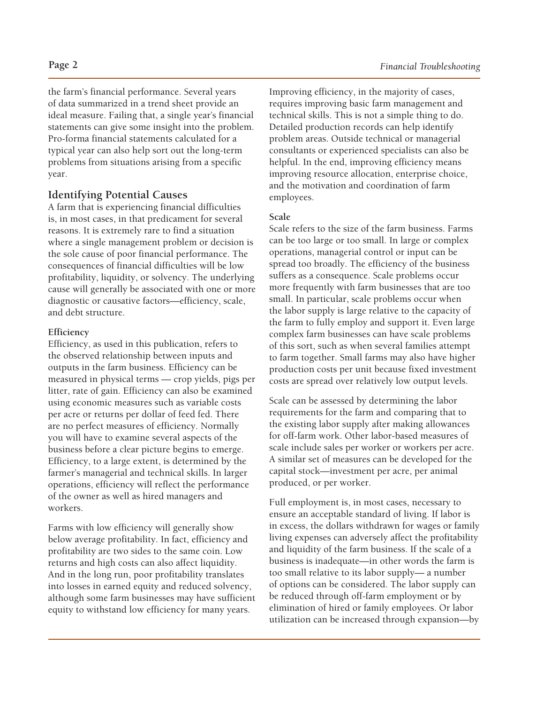the farm's financial performance. Several years of data summarized in a trend sheet provide an ideal measure. Failing that, a single year's financial statements can give some insight into the problem. Pro-forma financial statements calculated for a typical year can also help sort out the long-term problems from situations arising from a specific year.

#### **Identifying Potential Causes**

A farm that is experiencing financial difficulties is, in most cases, in that predicament for several reasons. It is extremely rare to find a situation where a single management problem or decision is the sole cause of poor financial performance. The consequences of financial difficulties will be low profitability, liquidity, or solvency. The underlying cause will generally be associated with one or more diagnostic or causative factors—efficiency, scale, and debt structure.

#### **Efficiency**

Efficiency, as used in this publication, refers to the observed relationship between inputs and outputs in the farm business. Efficiency can be measured in physical terms — crop yields, pigs per litter, rate of gain. Efficiency can also be examined using economic measures such as variable costs per acre or returns per dollar of feed fed. There are no perfect measures of efficiency. Normally you will have to examine several aspects of the business before a clear picture begins to emerge. Efficiency, to a large extent, is determined by the farmer's managerial and technical skills. In larger operations, efficiency will reflect the performance of the owner as well as hired managers and workers.

Farms with low efficiency will generally show below average profitability. In fact, efficiency and profitability are two sides to the same coin. Low returns and high costs can also affect liquidity. And in the long run, poor profitability translates into losses in earned equity and reduced solvency, although some farm businesses may have sufficient equity to withstand low efficiency for many years.

Improving efficiency, in the majority of cases, requires improving basic farm management and technical skills. This is not a simple thing to do. Detailed production records can help identify problem areas. Outside technical or managerial consultants or experienced specialists can also be helpful. In the end, improving efficiency means improving resource allocation, enterprise choice, and the motivation and coordination of farm employees.

#### **Scale**

Scale refers to the size of the farm business. Farms can be too large or too small. In large or complex operations, managerial control or input can be spread too broadly. The efficiency of the business suffers as a consequence. Scale problems occur more frequently with farm businesses that are too small. In particular, scale problems occur when the labor supply is large relative to the capacity of the farm to fully employ and support it. Even large complex farm businesses can have scale problems of this sort, such as when several families attempt to farm together. Small farms may also have higher production costs per unit because fixed investment costs are spread over relatively low output levels.

Scale can be assessed by determining the labor requirements for the farm and comparing that to the existing labor supply after making allowances for off-farm work. Other labor-based measures of scale include sales per worker or workers per acre. A similar set of measures can be developed for the capital stock—investment per acre, per animal produced, or per worker.

Full employment is, in most cases, necessary to ensure an acceptable standard of living. If labor is in excess, the dollars withdrawn for wages or family living expenses can adversely affect the profitability and liquidity of the farm business. If the scale of a business is inadequate—in other words the farm is too small relative to its labor supply— a number of options can be considered. The labor supply can be reduced through off-farm employment or by elimination of hired or family employees. Or labor utilization can be increased through expansion—by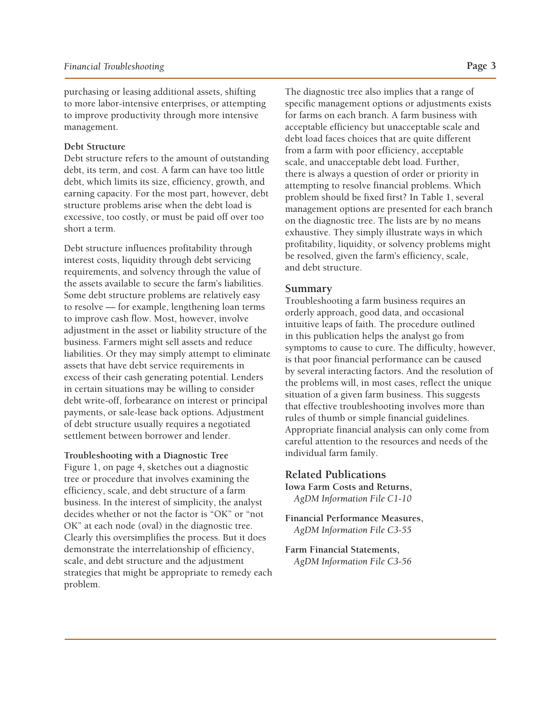purchasing or leasing additional assets, shifting to more labor-intensive enterprises, or attempting to improve productivity through more intensive management.

#### **Debt Structure**

Debt structure refers to the amount of outstanding debt, its term, and cost. A farm can have too little debt, which limits its size, efficiency, growth, and earning capacity. For the most part, however, debt structure problems arise when the debt load is excessive, too costly, or must be paid off over too short a term.

Debt structure influences profitability through interest costs, liquidity through debt servicing requirements, and solvency through the value of the assets available to secure the farm's liabilities. Some debt structure problems are relatively easy to resolve — for example, lengthening loan terms to improve cash flow. Most, however, involve adjustment in the asset or liability structure of the business. Farmers might sell assets and reduce liabilities. Or they may simply attempt to eliminate assets that have debt service requirements in excess of their cash generating potential. Lenders in certain situations may be willing to consider debt write-off, forbearance on interest or principal payments, or sale-lease back options. Adjustment of debt structure usually requires a negotiated settlement between borrower and lender.

#### **Troubleshooting with a Diagnostic Tree**

Figure 1, on page 4, sketches out a diagnostic tree or procedure that involves examining the efficiency, scale, and debt structure of a farm business. In the interest of simplicity, the analyst decides whether or not the factor is "OK" or "not OK" at each node (oval) in the diagnostic tree. Clearly this oversimplifies the process. But it does demonstrate the interrelationship of efficiency, scale, and debt structure and the adjustment strategies that might be appropriate to remedy each problem.

The diagnostic tree also implies that a range of specific management options or adjustments exists for farms on each branch. A farm business with acceptable efficiency but unacceptable scale and debt load faces choices that are quite different from a farm with poor efficiency, acceptable scale, and unacceptable debt load. Further, there is always a question of order or priority in attempting to resolve financial problems. Which problem should be fixed first? In Table 1, several management options are presented for each branch on the diagnostic tree. The lists are by no means exhaustive. They simply illustrate ways in which profitability, liquidity, or solvency problems might be resolved, given the farm's efficiency, scale, and debt structure.

#### **Summary**

Troubleshooting a farm business requires an orderly approach, good data, and occasional intuitive leaps of faith. The procedure outlined in this publication helps the analyst go from symptoms to cause to cure. The difficulty, however, is that poor financial performance can be caused by several interacting factors. And the resolution of the problems will, in most cases, reflect the unique situation of a given farm business. This suggests that effective troubleshooting involves more than rules of thumb or simple financial guidelines. Appropriate financial analysis can only come from careful attention to the resources and needs of the individual farm family.

#### **Related Publications**

**Iowa Farm Costs and Returns,**  *AgDM Information File C1-10* 

**Financial Performance Measures,**  *AgDM Information File C3-55*

**Farm Financial Statements,**  *AgDM Information File C3-56*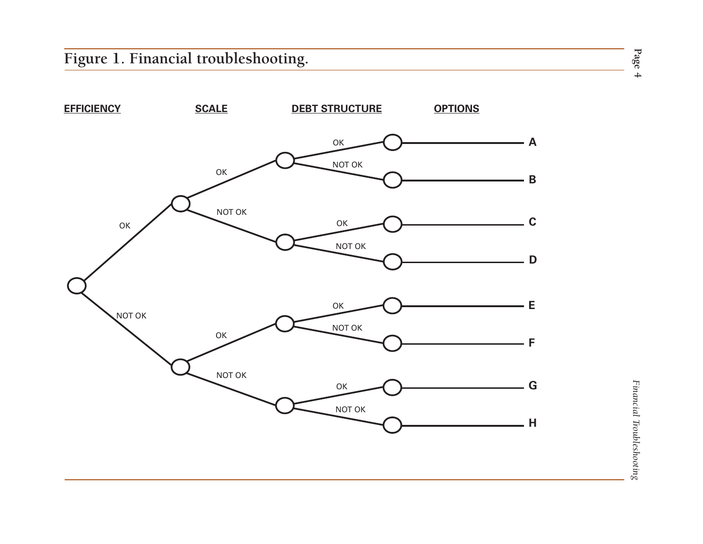

**Page 4**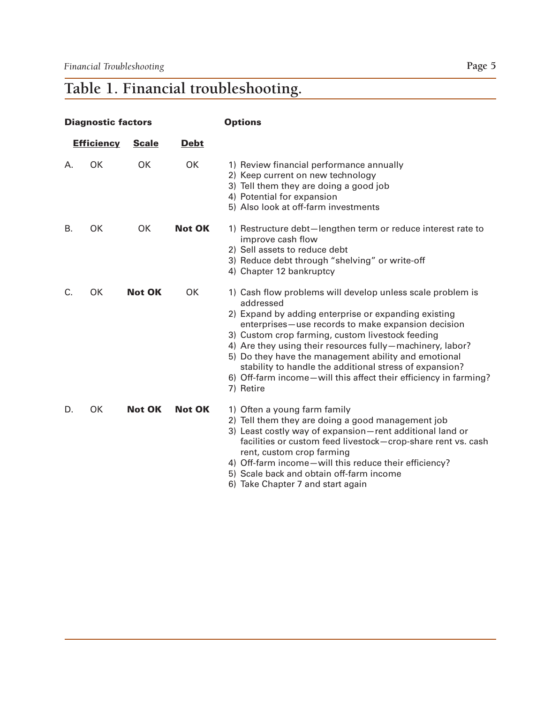# **Table 1. Financial troubleshooting.**

| <b>Diagnostic factors</b> |           |                             |               | <b>Options</b>                                                                                                                                                                                                                                                                                                                                                                                                                                                                                             |  |
|---------------------------|-----------|-----------------------------|---------------|------------------------------------------------------------------------------------------------------------------------------------------------------------------------------------------------------------------------------------------------------------------------------------------------------------------------------------------------------------------------------------------------------------------------------------------------------------------------------------------------------------|--|
| <b>Efficiency</b>         |           | <b>Debt</b><br><b>Scale</b> |               |                                                                                                                                                                                                                                                                                                                                                                                                                                                                                                            |  |
| А.                        | OK        | OK                          | OK            | 1) Review financial performance annually<br>2) Keep current on new technology<br>3) Tell them they are doing a good job<br>4) Potential for expansion<br>5) Also look at off-farm investments                                                                                                                                                                                                                                                                                                              |  |
| <b>B.</b>                 | <b>OK</b> | <b>OK</b>                   | <b>Not OK</b> | 1) Restructure debt-lengthen term or reduce interest rate to<br>improve cash flow<br>2) Sell assets to reduce debt<br>3) Reduce debt through "shelving" or write-off<br>4) Chapter 12 bankruptcy                                                                                                                                                                                                                                                                                                           |  |
| C.                        | OK        | <b>Not OK</b>               | OK            | 1) Cash flow problems will develop unless scale problem is<br>addressed<br>2) Expand by adding enterprise or expanding existing<br>enterprises-use records to make expansion decision<br>3) Custom crop farming, custom livestock feeding<br>4) Are they using their resources fully-machinery, labor?<br>5) Do they have the management ability and emotional<br>stability to handle the additional stress of expansion?<br>6) Off-farm income-will this affect their efficiency in farming?<br>7) Retire |  |
| D.                        | OK        | <b>Not OK</b>               | <b>Not OK</b> | 1) Often a young farm family<br>2) Tell them they are doing a good management job<br>3) Least costly way of expansion-rent additional land or<br>facilities or custom feed livestock-crop-share rent vs. cash<br>rent, custom crop farming<br>4) Off-farm income-will this reduce their efficiency?<br>5) Scale back and obtain off-farm income<br>6) Take Chapter 7 and start again                                                                                                                       |  |